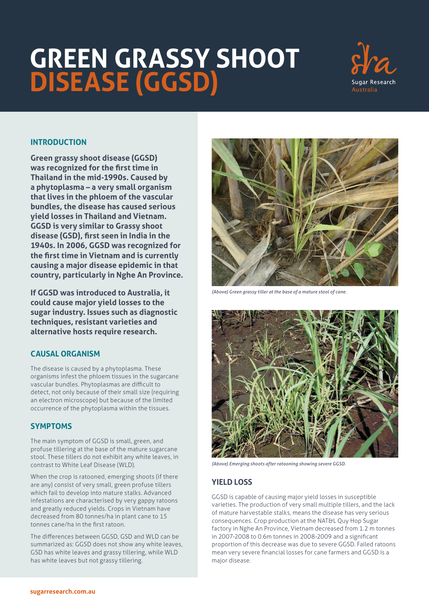# **GREEN GRASSY SHOOT DISEASE (GGSD)**



## **INTRODUCTION**

**Green grassy shoot disease (GGSD) was recognized for the first time in Thailand in the mid-1990s. Caused by a phytoplasma – a very small organism that lives in the phloem of the vascular bundles, the disease has caused serious yield losses in Thailand and Vietnam. GGSD is very similar to Grassy shoot disease (GSD), first seen in India in the 1940s. In 2006, GGSD was recognized for the first time in Vietnam and is currently causing a major disease epidemic in that country, particularly in Nghe An Province.**

**If GGSD was introduced to Australia, it could cause major yield losses to the sugar industry. Issues such as diagnostic techniques, resistant varieties and alternative hosts require research.**

#### **CAUSAL ORGANISM**

The disease is caused by a phytoplasma. These organisms infest the phloem tissues in the sugarcane vascular bundles. Phytoplasmas are difficult to detect, not only because of their small size (requiring an electron microscope) but because of the limited occurrence of the phytoplasma within the tissues.

#### **SYMPTOMS**

The main symptom of GGSD is small, green, and profuse tillering at the base of the mature sugarcane stool. These tillers do not exhibit any white leaves, in contrast to White Leaf Disease (WLD).

When the crop is ratooned, emerging shoots (if there are any) consist of very small, green profuse tillers which fail to develop into mature stalks. Advanced infestations are characterised by very gappy ratoons and greatly reduced yields. Crops in Vietnam have decreased from 80 tonnes/ha in plant cane to 15 tonnes cane/ha in the first ratoon.

The differences between GGSD, GSD and WLD can be summarized as: GGSD does not show any white leaves, GSD has white leaves and grassy tillering, while WLD has white leaves but not grassy tillering.



*(Above) Green grassy tiller at the base of a mature stool of cane.*



*(Above) Emerging shoots after ratooning showing severe GGSD.*

## **YIELD LOSS**

GGSD is capable of causing major yield losses in susceptible varieties. The production of very small multiple tillers, and the lack of mature harvestable stalks, means the disease has very serious consequences. Crop production at the NAT&L Quy Hop Sugar factory in Nghe An Province, Vietnam decreased from 1.2 m tonnes in 2007-2008 to 0.6m tonnes in 2008-2009 and a significant proportion of this decrease was due to severe GGSD. Failed ratoons mean very severe financial losses for cane farmers and GGSD is a major disease.